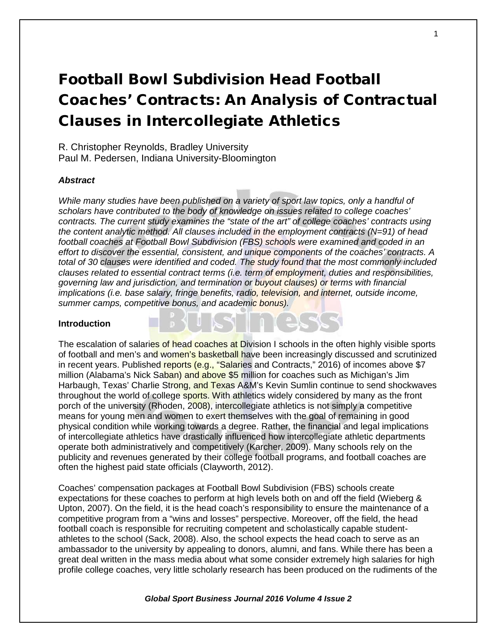# Football Bowl Subdivision Head Football Coaches' Contracts: An Analysis of Contractual Clauses in Intercollegiate Athletics

R. Christopher Reynolds, Bradley University Paul M. Pedersen, Indiana University-Bloomington

## *Abstract*

*While many studies have been published on a variety of sport law topics, only a handful of scholars have contributed to the body of knowledge on issues related to college coaches' contracts. The current study examines the "state of the art" of college coaches' contracts using the content analytic method. All clauses included in the employment contracts (N=91) of head football coaches at Football Bowl Subdivision (FBS) schools were examined and coded in an effort to discover the essential, consistent, and unique components of the coaches' contracts. A total of 30 clauses were identified and coded. The study found that the most commonly included clauses related to essential contract terms (i.e. term of employment, duties and responsibilities, governing law and jurisdiction, and termination or buyout clauses) or terms with financial implications (i.e. base salary, fringe benefits, radio, television, and internet, outside income, summer camps, competitive bonus, and academic bonus).*

#### **Introduction**

The escalation of salaries of head coaches at Division I schools in the often highly visible sports of football and men's and women's basketball have been increasingly discussed and scrutinized in recent years. Published reports (e.g., "Salaries and Contracts," 2016) of incomes above \$7 million (Alabama's Nick Saban) and above \$5 million for coaches such as Michigan's Jim Harbaugh, Texas' Charlie Strong, and Texas A&M's Kevin Sumlin continue to send shockwaves throughout the world of college sports. With athletics widely considered by many as the front porch of the university (Rhoden, 2008), intercollegiate athletics is not simply a competitive means for young men and women to exert themselves with the goal of remaining in good physical condition while working towards a degree. Rather, the financial and legal implications of intercollegiate athletics have drastically influenced how intercollegiate athletic departments operate both administratively and competitively (Karcher, 2009). Many schools rely on the publicity and revenues generated by their college football programs, and football coaches are often the highest paid state officials (Clayworth, 2012).

Coaches' compensation packages at Football Bowl Subdivision (FBS) schools create expectations for these coaches to perform at high levels both on and off the field (Wieberg & Upton, 2007). On the field, it is the head coach's responsibility to ensure the maintenance of a competitive program from a "wins and losses" perspective. Moreover, off the field, the head football coach is responsible for recruiting competent and scholastically capable studentathletes to the school (Sack, 2008). Also, the school expects the head coach to serve as an ambassador to the university by appealing to donors, alumni, and fans. While there has been a great deal written in the mass media about what some consider extremely high salaries for high profile college coaches, very little scholarly research has been produced on the rudiments of the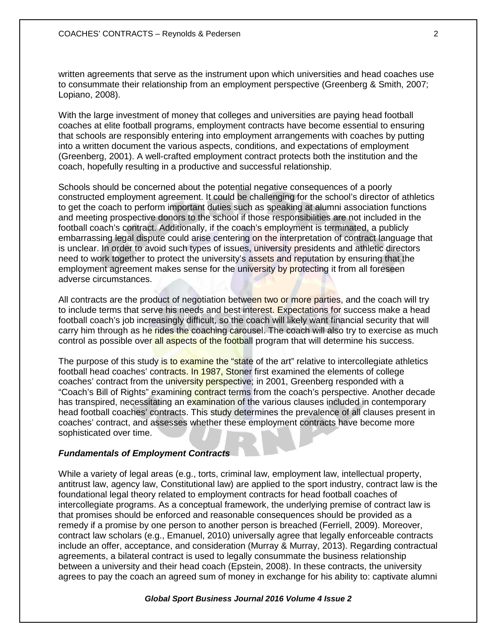written agreements that serve as the instrument upon which universities and head coaches use to consummate their relationship from an employment perspective (Greenberg & Smith, 2007; Lopiano, 2008).

With the large investment of money that colleges and universities are paying head football coaches at elite football programs, employment contracts have become essential to ensuring that schools are responsibly entering into employment arrangements with coaches by putting into a written document the various aspects, conditions, and expectations of employment (Greenberg, 2001). A well-crafted employment contract protects both the institution and the coach, hopefully resulting in a productive and successful relationship.

Schools should be concerned about the potential negative consequences of a poorly constructed employment agreement. It could be challenging for the school's director of athletics to get the coach to perform important duties such as speaking at alumni association functions and meeting prospective donors to the school if those responsibilities are not included in the football coach's contract. Additionally, if the coach's employment is terminated, a publicly embarrassing legal dispute could arise centering on the interpretation of contract language that is unclear. In order to avoid such types of issues, university presidents and athletic directors need to work together to protect the university's assets and reputation by ensuring that the employment agreement makes sense for the university by protecting it from all foreseen adverse circumstances.

All contracts are the product of negotiation between two or more parties, and the coach will try to include terms that serve his needs and best interest. Expectations for success make a head football coach's job increasingly difficult, so the coach will likely want financial security that will carry him through as he rides the coaching carousel. The coach will also try to exercise as much control as possible over all aspects of the football program that will determine his success.

The purpose of this study is to examine the "state of the art" relative to intercollegiate athletics football head coaches' contracts. In 1987, Stoner first examined the elements of college coaches' contract from the university perspective; in 2001, Greenberg responded with a "Coach's Bill of Rights" examining contract terms from the coach's perspective. Another decade has transpired, necessitating an examination of the various clauses included in contemporary head football coaches' contracts. This study determines the prevalence of all clauses present in coaches' contract, and assesses whether these employment contracts have become more sophisticated over time.

## *Fundamentals of Employment Contracts*

While a variety of legal areas (e.g., torts, criminal law, employment law, intellectual property, antitrust law, agency law, Constitutional law) are applied to the sport industry, contract law is the foundational legal theory related to employment contracts for head football coaches of intercollegiate programs. As a conceptual framework, the underlying premise of contract law is that promises should be enforced and reasonable consequences should be provided as a remedy if a promise by one person to another person is breached (Ferriell, 2009). Moreover, contract law scholars (e.g., Emanuel, 2010) universally agree that legally enforceable contracts include an offer, acceptance, and consideration (Murray & Murray, 2013). Regarding contractual agreements, a bilateral contract is used to legally consummate the business relationship between a university and their head coach (Epstein, 2008). In these contracts, the university agrees to pay the coach an agreed sum of money in exchange for his ability to: captivate alumni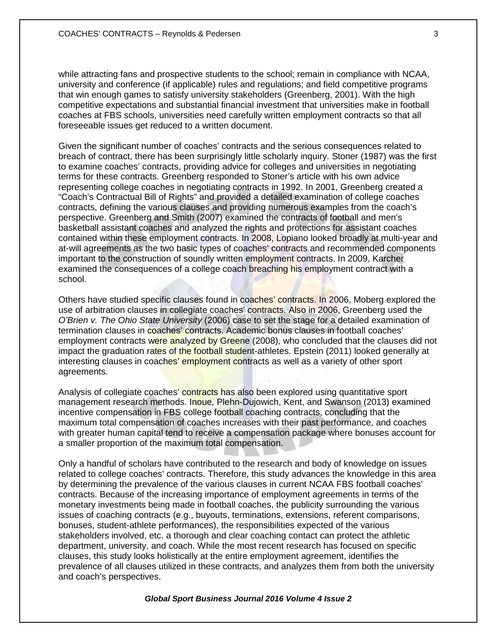while attracting fans and prospective students to the school; remain in compliance with NCAA, university and conference (if applicable) rules and regulations; and field competitive programs that win enough games to satisfy university stakeholders (Greenberg, 2001). With the high competitive expectations and substantial financial investment that universities make in football coaches at FBS schools, universities need carefully written employment contracts so that all foreseeable issues get reduced to a written document.

Given the significant number of coaches' contracts and the serious consequences related to breach of contract, there has been surprisingly little scholarly inquiry. Stoner (1987) was the first to examine coaches' contracts, providing advice for colleges and universities in negotiating terms for these contracts. Greenberg responded to Stoner's article with his own advice representing college coaches in negotiating contracts in 1992. In 2001, Greenberg created a "Coach's Contractual Bill of Rights" and provided a detailed examination of college coaches contracts, defining the various clauses and providing numerous examples from the coach's perspective. Greenberg and Smith (2007) examined the contracts of football and men's basketball assistant coaches and analyzed the rights and protections for assistant coaches contained within these employment contracts. In 2008, Lopiano looked broadly at multi-year and at-will agreements as the two basic types of coaches' contracts and recommended components important to the construction of soundly written employment contracts. In 2009, Karcher examined the consequences of a college coach breaching his employment contract with a school.

Others have studied specific clauses found in coaches' contracts. In 2006, Moberg explored the use of arbitration clauses in collegiate coaches' contracts. Also in 2006, Greenberg used the *O'Brien v. The Ohio State University* (2006) case to set the stage for a detailed examination of termination clauses in coaches' contracts. Academic bonus clauses in football coaches' employment contracts were analyzed by Greene (2008), who concluded that the clauses did not impact the graduation rates of the football student-athletes. Epstein (2011) looked generally at interesting clauses in coaches' employment contracts as well as a variety of other sport agreements.

Analysis of collegiate coaches' contracts has also been explored using quantitative sport management research methods. Inoue, Plehn-Dujowich, Kent, and Swanson (2013) examined incentive compensation in FBS college football coaching contracts, concluding that the maximum total compensation of coaches increases with their past performance, and coaches with greater human capital tend to receive a compensation package where bonuses account for a smaller proportion of the maximum total compensation.

Only a handful of scholars have contributed to the research and body of knowledge on issues related to college coaches' contracts. Therefore, this study advances the knowledge in this area by determining the prevalence of the various clauses in current NCAA FBS football coaches' contracts. Because of the increasing importance of employment agreements in terms of the monetary investments being made in football coaches, the publicity surrounding the various issues of coaching contracts (e.g., buyouts, terminations, extensions, referent comparisons, bonuses, student-athlete performances), the responsibilities expected of the various stakeholders involved, etc. a thorough and clear coaching contact can protect the athletic department, university, and coach. While the most recent research has focused on specific clauses, this study looks holistically at the entire employment agreement, identifies the prevalence of all clauses utilized in these contracts, and analyzes them from both the university and coach's perspectives.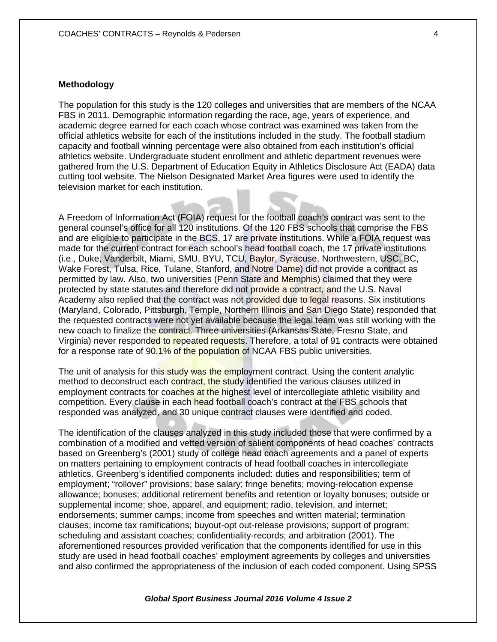## **Methodology**

The population for this study is the 120 colleges and universities that are members of the NCAA FBS in 2011. Demographic information regarding the race, age, years of experience, and academic degree earned for each coach whose contract was examined was taken from the official athletics website for each of the institutions included in the study. The football stadium capacity and football winning percentage were also obtained from each institution's official athletics website. Undergraduate student enrollment and athletic department revenues were gathered from the U.S. Department of Education Equity in Athletics Disclosure Act (EADA) data cutting tool website. The Nielson Designated Market Area figures were used to identify the television market for each institution.

A Freedom of Information Act (FOIA) request for the football coach's contract was sent to the general counsel's office for all 120 institutions. Of the 120 FBS schools that comprise the FBS and are eligible to participate in the BCS, 17 are private institutions. While a FOIA request was made for the current contract for each school's head football coach, the 17 private institutions (i.e., Duke, Vanderbilt, Miami, SMU, BYU, TCU, Baylor, Syracuse, Northwestern, USC, BC, Wake Forest, Tulsa, Rice, Tulane, Stanford, and Notre Dame) did not provide a contract as permitted by law. Also, two universities (Penn State and Memphis) claimed that they were protected by state statutes and therefore did not provide a contract, and the U.S. Naval Academy also replied that the contract was not provided due to legal reasons. Six institutions (Maryland, Colorado, Pittsburgh, Temple, Northern Illinois and San Diego State) responded that the requested contracts were not yet available because the legal team was still working with the new coach to finalize the contract. Three universities (Arkansas State, Fresno State, and Virginia) never responded to repeated requests. Therefore, a total of 91 contracts were obtained for a response rate of 90.1% of the population of NCAA FBS public universities.

The unit of analysis for this study was the employment contract. Using the content analytic method to deconstruct each contract, the study identified the various clauses utilized in employment contracts for coaches at the highest level of intercollegiate athletic visibility and competition. Every clause in each head football coach's contract at the FBS schools that responded was analyzed, and 30 unique contract clauses were identified and coded.

The identification of the clauses analyzed in this study included those that were confirmed by a combination of a modified and vetted version of salient components of head coaches' contracts based on Greenberg's (2001) study of college head coach agreements and a panel of experts on matters pertaining to employment contracts of head football coaches in intercollegiate athletics. Greenberg's identified components included: duties and responsibilities; term of employment; "rollover" provisions; base salary; fringe benefits; moving-relocation expense allowance; bonuses; additional retirement benefits and retention or loyalty bonuses; outside or supplemental income; shoe, apparel, and equipment; radio, television, and internet; endorsements; summer camps; income from speeches and written material; termination clauses; income tax ramifications; buyout-opt out-release provisions; support of program; scheduling and assistant coaches; confidentiality-records; and arbitration (2001). The aforementioned resources provided verification that the components identified for use in this study are used in head football coaches' employment agreements by colleges and universities and also confirmed the appropriateness of the inclusion of each coded component. Using SPSS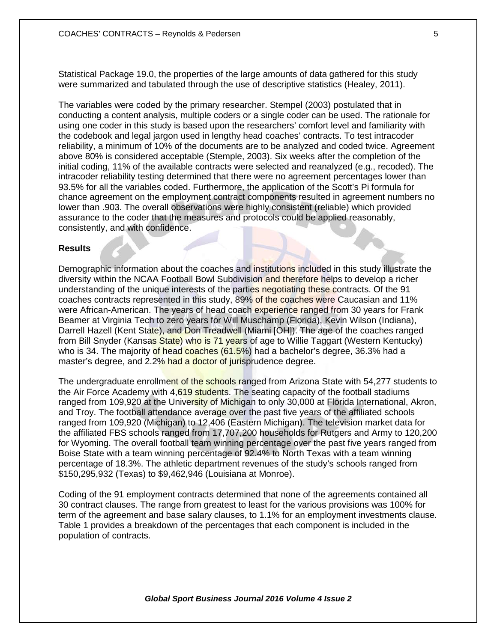Statistical Package 19.0, the properties of the large amounts of data gathered for this study were summarized and tabulated through the use of descriptive statistics (Healey, 2011).

The variables were coded by the primary researcher. Stempel (2003) postulated that in conducting a content analysis, multiple coders or a single coder can be used. The rationale for using one coder in this study is based upon the researchers' comfort level and familiarity with the codebook and legal jargon used in lengthy head coaches' contracts. To test intracoder reliability, a minimum of 10% of the documents are to be analyzed and coded twice. Agreement above 80% is considered acceptable (Stemple, 2003). Six weeks after the completion of the initial coding, 11% of the available contracts were selected and reanalyzed (e.g., recoded). The intracoder reliability testing determined that there were no agreement percentages lower than 93.5% for all the variables coded. Furthermore, the application of the Scott's Pi formula for chance agreement on the employment contract components resulted in agreement numbers no lower than .903. The overall observations were highly consistent (reliable) which provided assurance to the coder that the measures and protocols could be applied reasonably, consistently, and with confidence.

#### **Results**

Demographic information about the coaches and institutions included in this study illustrate the diversity within the NCAA Football Bowl Subdivision and therefore helps to develop a richer understanding of the unique interests of the parties negotiating these contracts. Of the 91 coaches contracts represented in this study, 89% of the coaches were Caucasian and 11% were African-American. The years of head coach experience ranged from 30 years for Frank Beamer at Virginia Tech to zero years for Will Muschamp (Florida), Kevin Wilson (Indiana), Darrell Hazell (Kent State), and Don Treadwell (Miami [OH]). The age of the coaches ranged from Bill Snyder (Kansas State) who is 71 years of age to Willie Taggart (Western Kentucky) who is 34. The majority of head coaches (61.5%) had a bachelor's degree, 36.3% had a master's degree, and 2.2% had a doctor of jurisprudence degree.

The undergraduate enrollment of the schools ranged from Arizona State with 54,277 students to the Air Force Academy with 4,619 students. The seating capacity of the football stadiums ranged from 109,920 at the University of Michigan to only 30,000 at Florida International, Akron, and Troy. The football attendance average over the past five years of the affiliated schools ranged from 109,920 (Michigan) to 12,406 (Eastern Michigan). The television market data for the affiliated FBS schools ranged from 17,707,200 households for Rutgers and Army to 120,200 for Wyoming. The overall football team winning percentage over the past five years ranged from Boise State with a team winning percentage of 92.4% to North Texas with a team winning percentage of 18.3%. The athletic department revenues of the study's schools ranged from \$150,295,932 (Texas) to \$9,462,946 (Louisiana at Monroe).

Coding of the 91 employment contracts determined that none of the agreements contained all 30 contract clauses. The range from greatest to least for the various provisions was 100% for term of the agreement and base salary clauses, to 1.1% for an employment investments clause. Table 1 provides a breakdown of the percentages that each component is included in the population of contracts.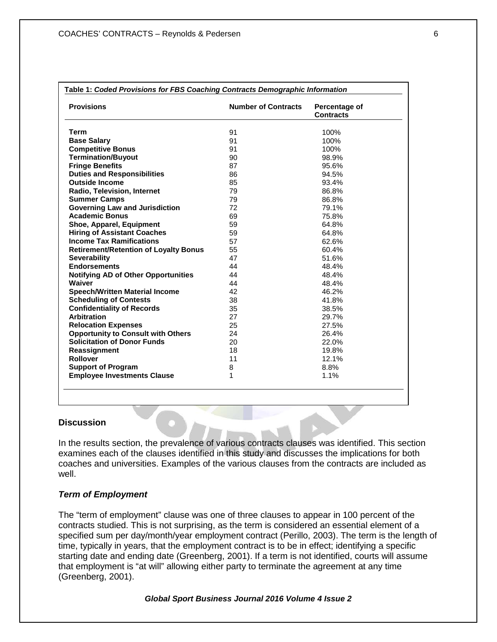| <b>Provisions</b>                            | <b>Number of Contracts</b> | Percentage of<br><b>Contracts</b> |
|----------------------------------------------|----------------------------|-----------------------------------|
| <b>Term</b>                                  | 91                         | 100%                              |
| <b>Base Salary</b>                           | 91                         | 100%                              |
| <b>Competitive Bonus</b>                     | 91                         | 100%                              |
| <b>Termination/Buyout</b>                    | 90                         | 98.9%                             |
| <b>Fringe Benefits</b>                       | 87                         | 95.6%                             |
| <b>Duties and Responsibilities</b>           | 86                         | 94.5%                             |
| <b>Outside Income</b>                        | 85                         | 93.4%                             |
| Radio, Television, Internet                  | 79                         | 86.8%                             |
| <b>Summer Camps</b>                          | 79                         | 86.8%                             |
| <b>Governing Law and Jurisdiction</b>        | 72                         | 79.1%                             |
| <b>Academic Bonus</b>                        | 69                         | 75.8%                             |
| Shoe, Apparel, Equipment                     | 59                         | 64.8%                             |
| <b>Hiring of Assistant Coaches</b>           | 59                         | 64.8%                             |
| <b>Income Tax Ramifications</b>              | 57                         | 62.6%                             |
| <b>Retirement/Retention of Loyalty Bonus</b> | 55                         | 60.4%                             |
| Severability                                 | 47                         | 51.6%                             |
| <b>Endorsements</b>                          | 44                         | 48.4%                             |
| <b>Notifying AD of Other Opportunities</b>   | 44                         | 48.4%                             |
| Waiver                                       | 44                         | 48.4%                             |
| <b>Speech/Written Material Income</b>        | 42                         | 46.2%                             |
| <b>Scheduling of Contests</b>                | 38                         | 41.8%                             |
| <b>Confidentiality of Records</b>            | 35                         | 38.5%                             |
| <b>Arbitration</b>                           | 27                         | 29.7%                             |
| <b>Relocation Expenses</b>                   | 25                         | 27.5%                             |
| <b>Opportunity to Consult with Others</b>    | 24                         | 26.4%                             |
| <b>Solicitation of Donor Funds</b>           | 20                         | 22.0%                             |
| Reassignment                                 | 18                         | 19.8%                             |
| <b>Rollover</b>                              | 11                         | 12.1%                             |
| <b>Support of Program</b>                    | 8                          | 8.8%                              |
| <b>Employee Investments Clause</b>           | 1                          | 1.1%                              |

#### **Discussion**

In the results section, the prevalence of various contracts clauses was identified. This section examines each of the clauses identified in this study and discusses the implications for both coaches and universities. Examples of the various clauses from the contracts are included as well.

## *Term of Employment*

The "term of employment" clause was one of three clauses to appear in 100 percent of the contracts studied. This is not surprising, as the term is considered an essential element of a specified sum per day/month/year employment contract (Perillo, 2003). The term is the length of time, typically in years, that the employment contract is to be in effect; identifying a specific starting date and ending date (Greenberg, 2001). If a term is not identified, courts will assume that employment is "at will" allowing either party to terminate the agreement at any time (Greenberg, 2001).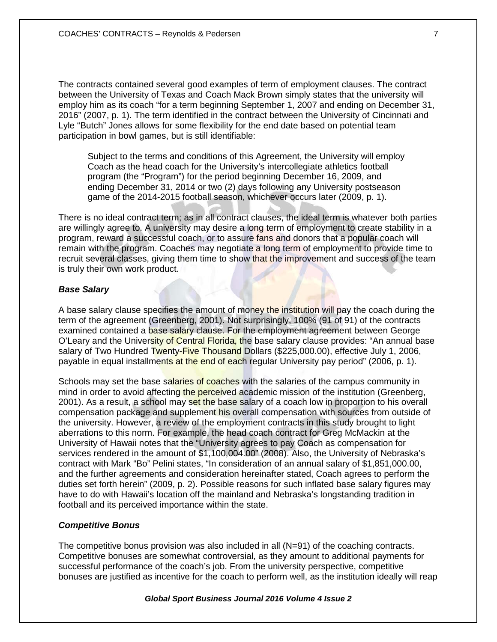The contracts contained several good examples of term of employment clauses. The contract between the University of Texas and Coach Mack Brown simply states that the university will employ him as its coach "for a term beginning September 1, 2007 and ending on December 31, 2016" (2007, p. 1). The term identified in the contract between the University of Cincinnati and Lyle "Butch" Jones allows for some flexibility for the end date based on potential team participation in bowl games, but is still identifiable:

Subject to the terms and conditions of this Agreement, the University will employ Coach as the head coach for the University's intercollegiate athletics football program (the "Program") for the period beginning December 16, 2009, and ending December 31, 2014 or two (2) days following any University postseason game of the 2014-2015 football season, whichever occurs later (2009, p. 1).

There is no ideal contract term; as in all contract clauses, the ideal term is whatever both parties are willingly agree to. A university may desire a long term of employment to create stability in a program, reward a successful coach, or to assure fans and donors that a popular coach will remain with the program. Coaches may negotiate a long term of employment to provide time to recruit several classes, giving them time to show that the improvement and success of the team is truly their own work product.

## *Base Salary*

A base salary clause specifies the amount of money the institution will pay the coach during the term of the agreement (Greenberg, 2001). Not surprisingly, 100% (91 of 91) of the contracts examined contained a base salary clause. For the employment agreement between George O'Leary and the University of Central Florida, the base salary clause provides: "An annual base salary of Two Hundred Twenty-Five Thousand Dollars (\$225,000.00), effective July 1, 2006, payable in equal installments at the end of each regular University pay period" (2006, p. 1).

Schools may set the base salaries of coaches with the salaries of the campus community in mind in order to avoid affecting the perceived academic mission of the institution (Greenberg, 2001). As a result, a school may set the base salary of a coach low in proportion to his overall compensation package and supplement his overall compensation with sources from outside of the university. However, a review of the employment contracts in this study brought to light aberrations to this norm. For example, the head coach contract for Greg McMackin at the University of Hawaii notes that the "University agrees to pay Coach as compensation for services rendered in the amount of \$1,100,004.00" (2008). Also, the University of Nebraska's contract with Mark "Bo" Pelini states, "In consideration of an annual salary of \$1,851,000.00, and the further agreements and consideration hereinafter stated, Coach agrees to perform the duties set forth herein" (2009, p. 2). Possible reasons for such inflated base salary figures may have to do with Hawaii's location off the mainland and Nebraska's longstanding tradition in football and its perceived importance within the state.

#### *Competitive Bonus*

The competitive bonus provision was also included in all (N=91) of the coaching contracts. Competitive bonuses are somewhat controversial, as they amount to additional payments for successful performance of the coach's job. From the university perspective, competitive bonuses are justified as incentive for the coach to perform well, as the institution ideally will reap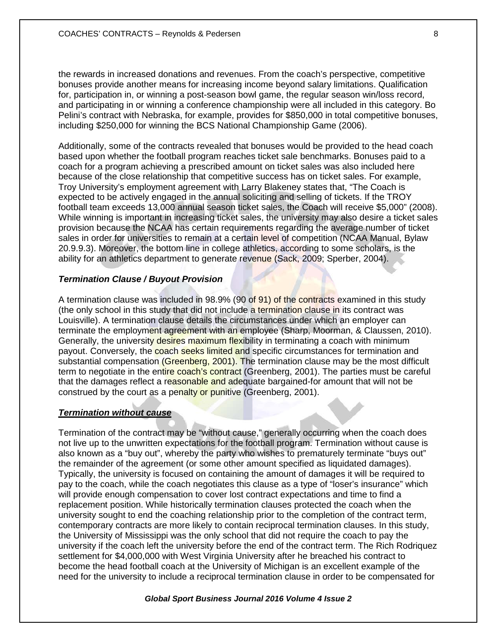the rewards in increased donations and revenues. From the coach's perspective, competitive bonuses provide another means for increasing income beyond salary limitations. Qualification for, participation in, or winning a post-season bowl game, the regular season win/loss record, and participating in or winning a conference championship were all included in this category. Bo Pelini's contract with Nebraska, for example, provides for \$850,000 in total competitive bonuses, including \$250,000 for winning the BCS National Championship Game (2006).

Additionally, some of the contracts revealed that bonuses would be provided to the head coach based upon whether the football program reaches ticket sale benchmarks. Bonuses paid to a coach for a program achieving a prescribed amount on ticket sales was also included here because of the close relationship that competitive success has on ticket sales. For example, Troy University's employment agreement with Larry Blakeney states that, "The Coach is expected to be actively engaged in the annual soliciting and selling of tickets. If the TROY football team exceeds 13,000 annual season ticket sales, the Coach will receive \$5,000" (2008). While winning is important in increasing ticket sales, the university may also desire a ticket sales provision because the NCAA has certain requirements regarding the average number of ticket sales in order for universities to remain at a certain level of competition (NCAA Manual, Bylaw 20.9.9.3). Moreover, the bottom line in college athletics, according to some scholars, is the ability for an athletics department to generate revenue (Sack, 2009; Sperber, 2004).

## *Termination Clause / Buyout Provision*

A termination clause was included in 98.9% (90 of 91) of the contracts examined in this study (the only school in this study that did not include a termination clause in its contract was Louisville). A termination clause details the circumstances under which an employer can terminate the employment agreement with an employee (Sharp, Moorman, & Claussen, 2010). Generally, the university desires maximum flexibility in terminating a coach with minimum payout. Conversely, the coach seeks limited and specific circumstances for termination and substantial compensation (Greenberg, 2001). The termination clause may be the most difficult term to negotiate in the entire coach's contract (Greenberg, 2001). The parties must be careful that the damages reflect a reasonable and adequate bargained-for amount that will not be construed by the court as a penalty or punitive (Greenberg, 2001).

### *Termination without cause*

Termination of the contract may be "without cause," generally occurring when the coach does not live up to the unwritten expectations for the football program. Termination without cause is also known as a "buy out", whereby the party who wishes to prematurely terminate "buys out" the remainder of the agreement (or some other amount specified as liquidated damages). Typically, the university is focused on containing the amount of damages it will be required to pay to the coach, while the coach negotiates this clause as a type of "loser's insurance" which will provide enough compensation to cover lost contract expectations and time to find a replacement position. While historically termination clauses protected the coach when the university sought to end the coaching relationship prior to the completion of the contract term, contemporary contracts are more likely to contain reciprocal termination clauses. In this study, the University of Mississippi was the only school that did not require the coach to pay the university if the coach left the university before the end of the contract term. The Rich Rodriquez settlement for \$4,000,000 with West Virginia University after he breached his contract to become the head football coach at the University of Michigan is an excellent example of the need for the university to include a reciprocal termination clause in order to be compensated for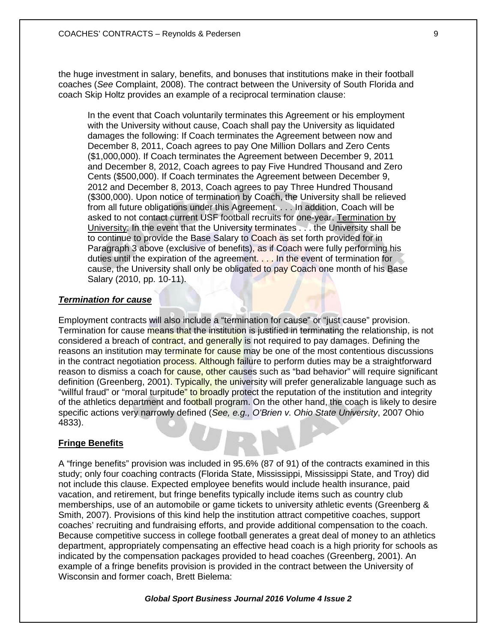the huge investment in salary, benefits, and bonuses that institutions make in their football coaches (*See* Complaint, 2008). The contract between the University of South Florida and coach Skip Holtz provides an example of a reciprocal termination clause:

In the event that Coach voluntarily terminates this Agreement or his employment with the University without cause, Coach shall pay the University as liquidated damages the following: If Coach terminates the Agreement between now and December 8, 2011, Coach agrees to pay One Million Dollars and Zero Cents (\$1,000,000). If Coach terminates the Agreement between December 9, 2011 and December 8, 2012, Coach agrees to pay Five Hundred Thousand and Zero Cents (\$500,000). If Coach terminates the Agreement between December 9, 2012 and December 8, 2013, Coach agrees to pay Three Hundred Thousand (\$300,000). Upon notice of termination by Coach, the University shall be relieved from all future obligations under this Agreement. . . . In addition, Coach will be asked to not contact current USF football recruits for one-year. Termination by University: In the event that the University terminates . . . the University shall be to continue to provide the Base Salary to Coach as set forth provided for in Paragraph 3 above (exclusive of benefits), as if Coach were fully performing his duties until the expiration of the agreement. . . . In the event of termination for cause, the University shall only be obligated to pay Coach one month of his Base Salary (2010, pp. 10-11).

## *Termination for cause*

Employment contracts will also include a "termination for cause" or "just cause" provision. Termination for cause means that the institution is justified in terminating the relationship, is not considered a breach of contract, and generally is not required to pay damages. Defining the reasons an institution may terminate for cause may be one of the most contentious discussions in the contract negotiation process. Although failure to perform duties may be a straightforward reason to dismiss a coach for cause, other causes such as "bad behavior" will require significant definition (Greenberg, 2001). Typically, the university will prefer generalizable language such as "willful fraud" or "moral turpitude" to broadly protect the reputation of the institution and integrity of the athletics department and football program. On the other hand, the coach is likely to desire specific actions very narrowly defined (*See, e.g., O'Brien v. Ohio State University*, 2007 Ohio 4833).

## **Fringe Benefits**

A "fringe benefits" provision was included in 95.6% (87 of 91) of the contracts examined in this study; only four coaching contracts (Florida State, Mississippi, Mississippi State, and Troy) did not include this clause. Expected employee benefits would include health insurance, paid vacation, and retirement, but fringe benefits typically include items such as country club memberships, use of an automobile or game tickets to university athletic events (Greenberg & Smith, 2007). Provisions of this kind help the institution attract competitive coaches, support coaches' recruiting and fundraising efforts, and provide additional compensation to the coach. Because competitive success in college football generates a great deal of money to an athletics department, appropriately compensating an effective head coach is a high priority for schools as indicated by the compensation packages provided to head coaches (Greenberg, 2001). An example of a fringe benefits provision is provided in the contract between the University of Wisconsin and former coach, Brett Bielema: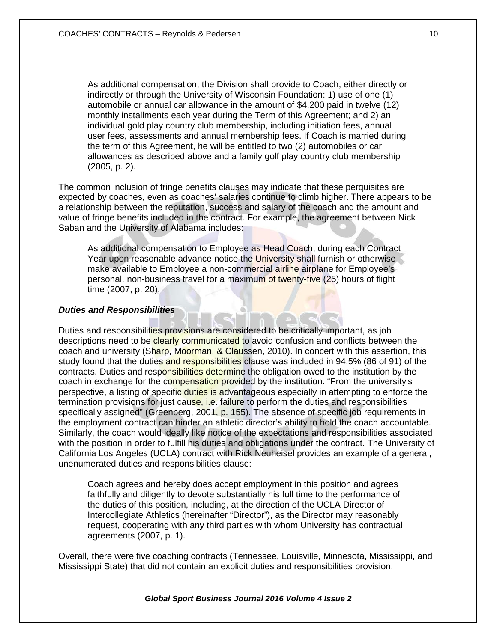As additional compensation, the Division shall provide to Coach, either directly or indirectly or through the University of Wisconsin Foundation: 1) use of one (1) automobile or annual car allowance in the amount of \$4,200 paid in twelve (12) monthly installments each year during the Term of this Agreement; and 2) an individual gold play country club membership, including initiation fees, annual user fees, assessments and annual membership fees. If Coach is married during the term of this Agreement, he will be entitled to two (2) automobiles or car allowances as described above and a family golf play country club membership (2005, p. 2).

The common inclusion of fringe benefits clauses may indicate that these perquisites are expected by coaches, even as coaches' salaries continue to climb higher. There appears to be a relationship between the reputation, success and salary of the coach and the amount and value of fringe benefits included in the contract. For example, the agreement between Nick Saban and the University of Alabama includes:

As additional compensation to Employee as Head Coach, during each Contract Year upon reasonable advance notice the University shall furnish or otherwise make available to Employee a non-commercial airline airplane for Employee's personal, non-business travel for a maximum of twenty-five (25) hours of flight time (2007, p. 20).

## *Duties and Responsibilities*

Duties and responsibilities provisions are considered to be critically important, as job descriptions need to be clearly communicated to avoid confusion and conflicts between the coach and university (Sharp, Moorman, & Claussen, 2010). In concert with this assertion, this study found that the duties and responsibilities clause was included in 94.5% (86 of 91) of the contracts. Duties and responsibilities determine the obligation owed to the institution by the coach in exchange for the compensation provided by the institution. "From the university's perspective, a listing of specific duties is advantageous especially in attempting to enforce the termination provisions for just cause, i.e. failure to perform the duties and responsibilities specifically assigned" (Greenberg, 2001, p. 155). The absence of specific job requirements in the employment contract can hinder an athletic director's ability to hold the coach accountable. Similarly, the coach would ideally like notice of the expectations and responsibilities associated with the position in order to fulfill his duties and obligations under the contract. The University of California Los Angeles (UCLA) contract with Rick Neuheisel provides an example of a general, unenumerated duties and responsibilities clause:

Coach agrees and hereby does accept employment in this position and agrees faithfully and diligently to devote substantially his full time to the performance of the duties of this position, including, at the direction of the UCLA Director of Intercollegiate Athletics (hereinafter "Director"), as the Director may reasonably request, cooperating with any third parties with whom University has contractual agreements (2007, p. 1).

Overall, there were five coaching contracts (Tennessee, Louisville, Minnesota, Mississippi, and Mississippi State) that did not contain an explicit duties and responsibilities provision.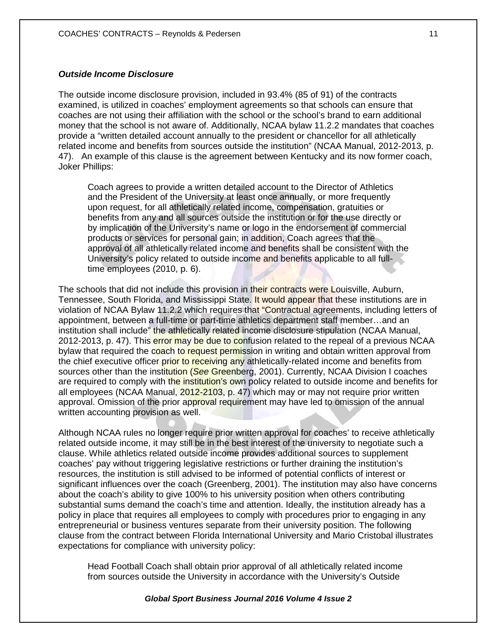## *Outside Income Disclosure*

The outside income disclosure provision, included in 93.4% (85 of 91) of the contracts examined, is utilized in coaches' employment agreements so that schools can ensure that coaches are not using their affiliation with the school or the school's brand to earn additional money that the school is not aware of. Additionally, NCAA bylaw 11.2.2 mandates that coaches provide a "written detailed account annually to the president or chancellor for all athletically related income and benefits from sources outside the institution" (NCAA Manual, 2012-2013, p. 47). An example of this clause is the agreement between Kentucky and its now former coach, Joker Phillips:

Coach agrees to provide a written detailed account to the Director of Athletics and the President of the University at least once annually, or more frequently upon request, for all athletically related income, compensation, gratuities or benefits from any and all sources outside the institution or for the use directly or by implication of the University's name or logo in the endorsement of commercial products or services for personal gain; in addition, Coach agrees that the approval of all athletically related income and benefits shall be consistent with the University's policy related to outside income and benefits applicable to all fulltime employees (2010, p. 6).

The schools that did not include this provision in their contracts were Louisville, Auburn, Tennessee, South Florida, and Mississippi State. It would appear that these institutions are in violation of NCAA Bylaw 11.2.2 which requires that "Contractual agreements, including letters of appointment, between a full-time or part-time athletics department staff member…and an institution shall include" the athletically related income disclosure stipulation (NCAA Manual, 2012-2013, p. 47). This error may be due to confusion related to the repeal of a previous NCAA bylaw that required the coach to request permission in writing and obtain written approval from the chief executive officer prior to receiving any athletically-related income and benefits from sources other than the institution (*See* Greenberg, 2001). Currently, NCAA Division I coaches are required to comply with the institution's own policy related to outside income and benefits for all employees (NCAA Manual, 2012-2103, p. 47) which may or may not require prior written approval. Omission of the prior approval requirement may have led to omission of the annual written accounting provision as well.

Although NCAA rules no longer require prior written approval for coaches' to receive athletically related outside income, it may still be in the best interest of the university to negotiate such a clause. While athletics related outside income provides additional sources to supplement coaches' pay without triggering legislative restrictions or further draining the institution's resources, the institution is still advised to be informed of potential conflicts of interest or significant influences over the coach (Greenberg, 2001). The institution may also have concerns about the coach's ability to give 100% to his university position when others contributing substantial sums demand the coach's time and attention. Ideally, the institution already has a policy in place that requires all employees to comply with procedures prior to engaging in any entrepreneurial or business ventures separate from their university position. The following clause from the contract between Florida International University and Mario Cristobal illustrates expectations for compliance with university policy:

Head Football Coach shall obtain prior approval of all athletically related income from sources outside the University in accordance with the University's Outside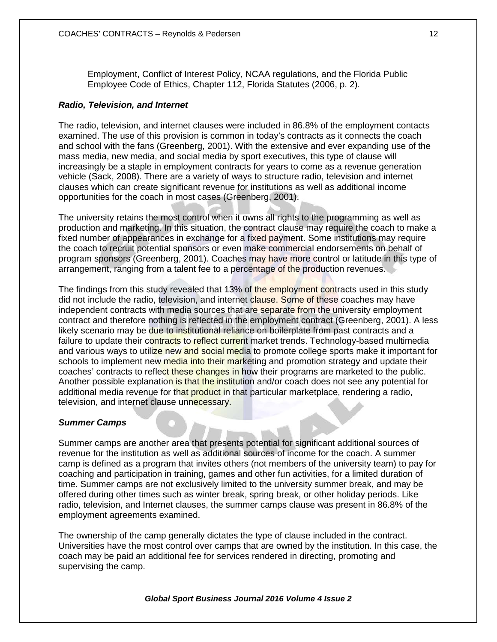Employment, Conflict of Interest Policy, NCAA regulations, and the Florida Public Employee Code of Ethics, Chapter 112, Florida Statutes (2006, p. 2).

#### *Radio, Television, and Internet*

The radio, television, and internet clauses were included in 86.8% of the employment contacts examined. The use of this provision is common in today's contracts as it connects the coach and school with the fans (Greenberg, 2001). With the extensive and ever expanding use of the mass media, new media, and social media by sport executives, this type of clause will increasingly be a staple in employment contracts for years to come as a revenue generation vehicle (Sack, 2008). There are a variety of ways to structure radio, television and internet clauses which can create significant revenue for institutions as well as additional income opportunities for the coach in most cases (Greenberg, 2001).

The university retains the most control when it owns all rights to the programming as well as production and marketing. In this situation, the contract clause may require the coach to make a fixed number of appearances in exchange for a fixed payment. Some institutions may require the coach to recruit potential sponsors or even make commercial endorsements on behalf of program sponsors (Greenberg, 2001). Coaches may have more control or latitude in this type of arrangement, ranging from a talent fee to a percentage of the production revenues.

The findings from this study revealed that 13% of the employment contracts used in this study did not include the radio, television, and internet clause. Some of these coaches may have independent contracts with media sources that are separate from the university employment contract and therefore nothing is reflected in the employment contract (Greenberg, 2001). A less likely scenario may be due to institutional reliance on boilerplate from past contracts and a failure to update their contracts to reflect current market trends. Technology-based multimedia and various ways to utilize new and social media to promote college sports make it important for schools to implement new media into their marketing and promotion strategy and update their coaches' contracts to reflect these changes in how their programs are marketed to the public. Another possible explanation is that the institution and/or coach does not see any potential for additional media revenue for that product in that particular marketplace, rendering a radio, television, and internet clause unnecessary.

#### *Summer Camps*

Summer camps are another area that presents potential for significant additional sources of revenue for the institution as well as additional sources of income for the coach. A summer camp is defined as a program that invites others (not members of the university team) to pay for coaching and participation in training, games and other fun activities, for a limited duration of time. Summer camps are not exclusively limited to the university summer break, and may be offered during other times such as winter break, spring break, or other holiday periods. Like radio, television, and Internet clauses, the summer camps clause was present in 86.8% of the employment agreements examined.

The ownership of the camp generally dictates the type of clause included in the contract. Universities have the most control over camps that are owned by the institution. In this case, the coach may be paid an additional fee for services rendered in directing, promoting and supervising the camp.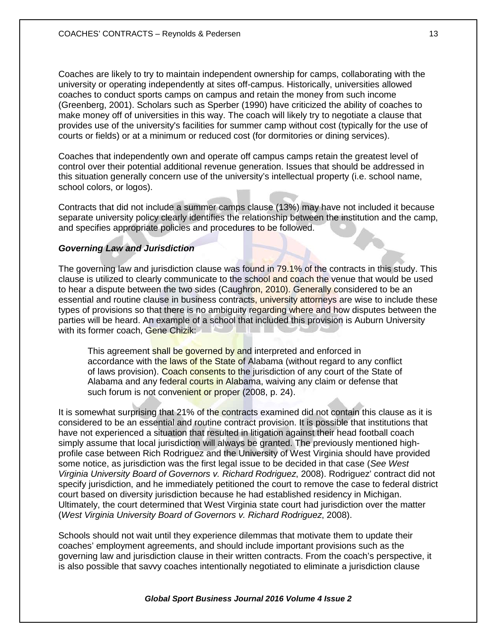Coaches are likely to try to maintain independent ownership for camps, collaborating with the university or operating independently at sites off-campus. Historically, universities allowed coaches to conduct sports camps on campus and retain the money from such income (Greenberg, 2001). Scholars such as Sperber (1990) have criticized the ability of coaches to make money off of universities in this way. The coach will likely try to negotiate a clause that provides use of the university's facilities for summer camp without cost (typically for the use of courts or fields) or at a minimum or reduced cost (for dormitories or dining services).

Coaches that independently own and operate off campus camps retain the greatest level of control over their potential additional revenue generation. Issues that should be addressed in this situation generally concern use of the university's intellectual property (i.e. school name, school colors, or logos).

Contracts that did not include a summer camps clause (13%) may have not included it because separate university policy clearly identifies the relationship between the institution and the camp, and specifies appropriate policies and procedures to be followed.

## *Governing Law and Jurisdiction*

The governing law and jurisdiction clause was found in 79.1% of the contracts in this study. This clause is utilized to clearly communicate to the school and coach the venue that would be used to hear a dispute between the two sides (Caughron, 2010). Generally considered to be an essential and routine clause in business contracts, university attorneys are wise to include these types of provisions so that there is no ambiguity regarding where and how disputes between the parties will be heard. An example of a school that included this provision is Auburn University with its former coach, Gene Chizik:

This agreement shall be governed by and interpreted and enforced in accordance with the laws of the State of Alabama (without regard to any conflict of laws provision). Coach consents to the jurisdiction of any court of the State of Alabama and any federal courts in Alabama, waiving any claim or defense that such forum is not convenient or proper (2008, p. 24).

It is somewhat surprising that 21% of the contracts examined did not contain this clause as it is considered to be an essential and routine contract provision. It is possible that institutions that have not experienced a situation that resulted in litigation against their head football coach simply assume that local jurisdiction will always be granted. The previously mentioned highprofile case between Rich Rodriguez and the University of West Virginia should have provided some notice, as jurisdiction was the first legal issue to be decided in that case (*See West Virginia University Board of Governors v. Richard Rodriguez*, 2008). Rodriguez' contract did not specify jurisdiction, and he immediately petitioned the court to remove the case to federal district court based on diversity jurisdiction because he had established residency in Michigan. Ultimately, the court determined that West Virginia state court had jurisdiction over the matter (*West Virginia University Board of Governors v. Richard Rodriguez*, 2008).

Schools should not wait until they experience dilemmas that motivate them to update their coaches' employment agreements, and should include important provisions such as the governing law and jurisdiction clause in their written contracts. From the coach's perspective, it is also possible that savvy coaches intentionally negotiated to eliminate a jurisdiction clause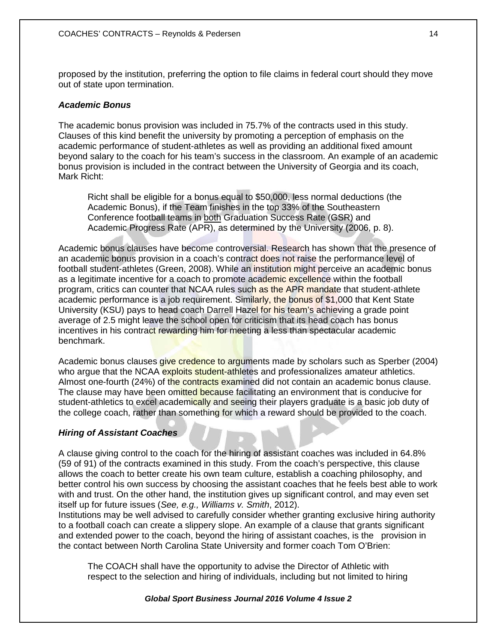proposed by the institution, preferring the option to file claims in federal court should they move out of state upon termination.

## *Academic Bonus*

The academic bonus provision was included in 75.7% of the contracts used in this study. Clauses of this kind benefit the university by promoting a perception of emphasis on the academic performance of student-athletes as well as providing an additional fixed amount beyond salary to the coach for his team's success in the classroom. An example of an academic bonus provision is included in the contract between the University of Georgia and its coach, Mark Richt:

Richt shall be eligible for a bonus equal to \$50,000, less normal deductions (the Academic Bonus), if the Team finishes in the top 33% of the Southeastern Conference football teams in both Graduation Success Rate (GSR) and Academic Progress Rate (APR), as determined by the University (2006, p. 8).

Academic bonus clauses have become controversial. Research has shown that the presence of an academic bonus provision in a coach's contract does not raise the performance level of football student-athletes (Green, 2008). While an institution might perceive an academic bonus as a legitimate incentive for a coach to promote academic excellence within the football program, critics can counter that NCAA rules such as the APR mandate that student-athlete academic performance is a job requirement. Similarly, the bonus of \$1,000 that Kent State University (KSU) pays to head coach Darrell Hazel for his team's achieving a grade point average of 2.5 might leave the school open for criticism that its head coach has bonus incentives in his contract rewarding him for meeting a less than spectacular academic benchmark.

Academic bonus clauses give credence to arguments made by scholars such as Sperber (2004) who argue that the NCAA exploits student-athletes and professionalizes amateur athletics. Almost one-fourth (24%) of the contracts examined did not contain an academic bonus clause. The clause may have been omitted because facilitating an environment that is conducive for student-athletics to excel academically and seeing their players graduate is a basic job duty of the college coach, rather than something for which a reward should be provided to the coach.

## *Hiring of Assistant Coaches*

A clause giving control to the coach for the hiring of assistant coaches was included in 64.8% (59 of 91) of the contracts examined in this study. From the coach's perspective, this clause allows the coach to better create his own team culture, establish a coaching philosophy, and better control his own success by choosing the assistant coaches that he feels best able to work with and trust. On the other hand, the institution gives up significant control, and may even set itself up for future issues (*See, e.g., Williams v. Smith*, 2012).

Institutions may be well advised to carefully consider whether granting exclusive hiring authority to a football coach can create a slippery slope. An example of a clause that grants significant and extended power to the coach, beyond the hiring of assistant coaches, is the provision in the contact between North Carolina State University and former coach Tom O'Brien:

The COACH shall have the opportunity to advise the Director of Athletic with respect to the selection and hiring of individuals, including but not limited to hiring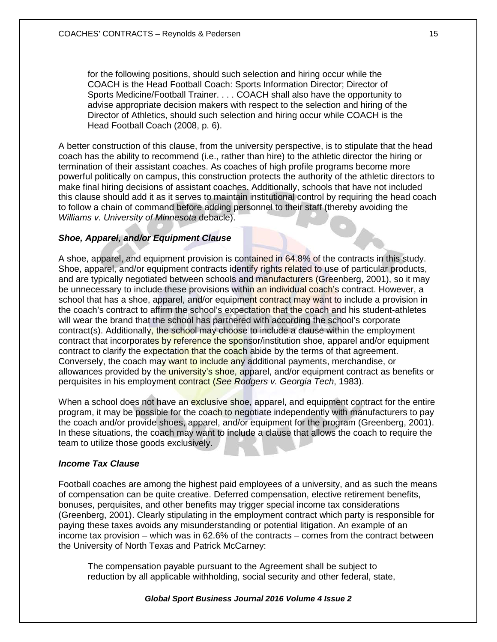for the following positions, should such selection and hiring occur while the COACH is the Head Football Coach: Sports Information Director; Director of Sports Medicine/Football Trainer. . . . COACH shall also have the opportunity to advise appropriate decision makers with respect to the selection and hiring of the Director of Athletics, should such selection and hiring occur while COACH is the Head Football Coach (2008, p. 6).

A better construction of this clause, from the university perspective, is to stipulate that the head coach has the ability to recommend (i.e., rather than hire) to the athletic director the hiring or termination of their assistant coaches. As coaches of high profile programs become more powerful politically on campus, this construction protects the authority of the athletic directors to make final hiring decisions of assistant coaches. Additionally, schools that have not included this clause should add it as it serves to maintain institutional control by requiring the head coach to follow a chain of command before adding personnel to their staff (thereby avoiding the *Williams v. University of Minnesota* debacle).

# *Shoe, Apparel, and/or Equipment Clause*

A shoe, apparel, and equipment provision is contained in 64.8% of the contracts in this study. Shoe, apparel, and/or equipment contracts identify rights related to use of particular products, and are typically negotiated between schools and manufacturers (Greenberg, 2001), so it may be unnecessary to include these provisions within an individual coach's contract. However, a school that has a shoe, apparel, and/or equipment contract may want to include a provision in the coach's contract to affirm the school's expectation that the coach and his student-athletes will wear the brand that the school has partnered with according the school's corporate contract(s). Additionally, the school may choose to include a clause within the employment contract that incorporates by reference the sponsor/institution shoe, apparel and/or equipment contract to clarify the expectation that the coach abide by the terms of that agreement. Conversely, the coach may want to include any additional payments, merchandise, or allowances provided by the university's shoe, apparel, and/or equipment contract as benefits or perquisites in his employment contract (*See Rodgers v. Georgia Tech*, 1983).

When a school does not have an exclusive shoe, apparel, and equipment contract for the entire program, it may be possible for the coach to negotiate independently with manufacturers to pay the coach and/or provide shoes, apparel, and/or equipment for the program (Greenberg, 2001). In these situations, the coach may want to include a clause that allows the coach to require the team to utilize those goods exclusively.

# *Income Tax Clause*

Football coaches are among the highest paid employees of a university, and as such the means of compensation can be quite creative. Deferred compensation, elective retirement benefits, bonuses, perquisites, and other benefits may trigger special income tax considerations (Greenberg, 2001). Clearly stipulating in the employment contract which party is responsible for paying these taxes avoids any misunderstanding or potential litigation. An example of an income tax provision – which was in 62.6% of the contracts – comes from the contract between the University of North Texas and Patrick McCarney:

The compensation payable pursuant to the Agreement shall be subject to reduction by all applicable withholding, social security and other federal, state,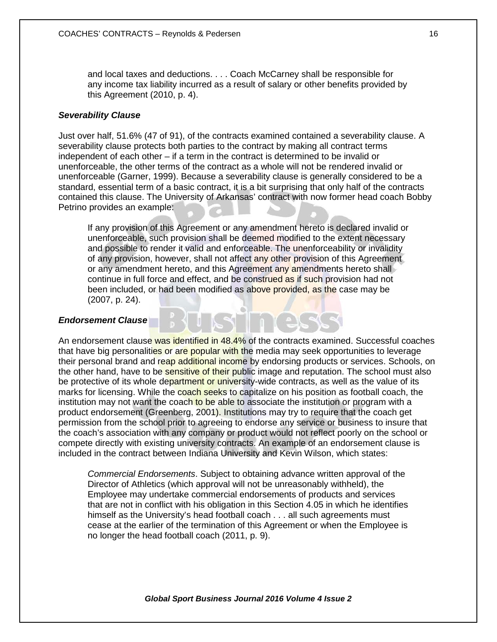and local taxes and deductions. . . . Coach McCarney shall be responsible for any income tax liability incurred as a result of salary or other benefits provided by this Agreement (2010, p. 4).

## *Severability Clause*

Just over half, 51.6% (47 of 91), of the contracts examined contained a severability clause. A severability clause protects both parties to the contract by making all contract terms independent of each other – if a term in the contract is determined to be invalid or unenforceable, the other terms of the contract as a whole will not be rendered invalid or unenforceable (Garner, 1999). Because a severability clause is generally considered to be a standard, essential term of a basic contract, it is a bit surprising that only half of the contracts contained this clause. The University of Arkansas' contract with now former head coach Bobby Petrino provides an example:

If any provision of this Agreement or any amendment hereto is declared invalid or unenforceable, such provision shall be deemed modified to the extent necessary and possible to render it valid and enforceable. The unenforceability or invalidity of any provision, however, shall not affect any other provision of this Agreement or any amendment hereto, and this Agreement any amendments hereto shall continue in full force and effect, and be construed as if such provision had not been included, or had been modified as above provided, as the case may be (2007, p. 24).

#### *Endorsement Clause*

An endorsement clause was identified in 48.4% of the contracts examined. Successful coaches that have big personalities or are popular with the media may seek opportunities to leverage their personal brand and reap additional income by endorsing products or services. Schools, on the other hand, have to be sensitive of their public image and reputation. The school must also be protective of its whole department or university-wide contracts, as well as the value of its marks for licensing. While the coach seeks to capitalize on his position as football coach, the institution may not want the coach to be able to associate the institution or program with a product endorsement (Greenberg, 2001). Institutions may try to require that the coach get permission from the school prior to agreeing to endorse any service or business to insure that the coach's association with any company or product would not reflect poorly on the school or compete directly with existing university contracts. An example of an endorsement clause is included in the contract between Indiana University and Kevin Wilson, which states:

*Commercial Endorsements*. Subject to obtaining advance written approval of the Director of Athletics (which approval will not be unreasonably withheld), the Employee may undertake commercial endorsements of products and services that are not in conflict with his obligation in this Section 4.05 in which he identifies himself as the University's head football coach . . . all such agreements must cease at the earlier of the termination of this Agreement or when the Employee is no longer the head football coach (2011, p. 9).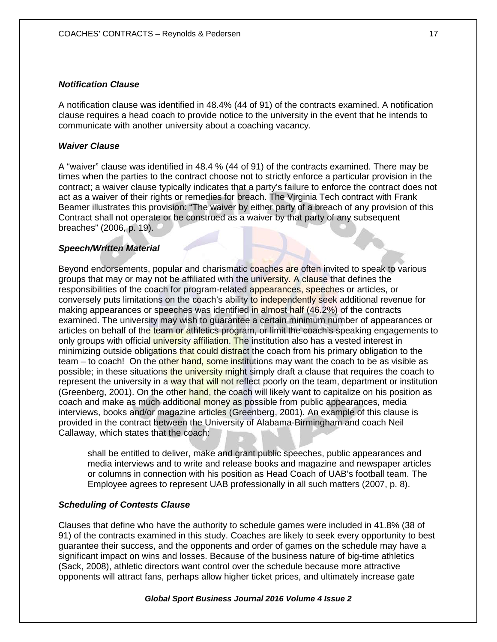## *Notification Clause*

A notification clause was identified in 48.4% (44 of 91) of the contracts examined. A notification clause requires a head coach to provide notice to the university in the event that he intends to communicate with another university about a coaching vacancy.

## *Waiver Clause*

A "waiver" clause was identified in 48.4 % (44 of 91) of the contracts examined. There may be times when the parties to the contract choose not to strictly enforce a particular provision in the contract; a waiver clause typically indicates that a party's failure to enforce the contract does not act as a waiver of their rights or remedies for breach. The Virginia Tech contract with Frank Beamer illustrates this provision: "The waiver by either party of a breach of any provision of this Contract shall not operate or be construed as a waiver by that party of any subsequent breaches" (2006, p. 19).

## *Speech/Written Material*

Beyond endorsements, popular and charismatic coaches are often invited to speak to various groups that may or may not be affiliated with the university. A clause that defines the responsibilities of the coach for program-related appearances, speeches or articles, or conversely puts limitations on the coach's ability to independently seek additional revenue for making appearances or speeches was identified in almost half (46.2%) of the contracts examined. The university may wish to guarantee a certain minimum number of appearances or articles on behalf of the team or athletics program, or limit the coach's speaking engagements to only groups with official university affiliation. The institution also has a vested interest in minimizing outside obligations that could distract the coach from his primary obligation to the team – to coach! On the other hand, some institutions may want the coach to be as visible as possible; in these situations the university might simply draft a clause that requires the coach to represent the university in a way that will not reflect poorly on the team, department or institution (Greenberg, 2001). On the other hand, the coach will likely want to capitalize on his position as coach and make as much additional money as possible from public appearances, media interviews, books and/or magazine articles (Greenberg, 2001). An example of this clause is provided in the contract between the University of Alabama-Birmingham and coach Neil Callaway, which states that the coach:

shall be entitled to deliver, make and grant public speeches, public appearances and media interviews and to write and release books and magazine and newspaper articles or columns in connection with his position as Head Coach of UAB's football team. The Employee agrees to represent UAB professionally in all such matters (2007, p. 8).

## *Scheduling of Contests Clause*

Clauses that define who have the authority to schedule games were included in 41.8% (38 of 91) of the contracts examined in this study. Coaches are likely to seek every opportunity to best guarantee their success, and the opponents and order of games on the schedule may have a significant impact on wins and losses. Because of the business nature of big-time athletics (Sack, 2008), athletic directors want control over the schedule because more attractive opponents will attract fans, perhaps allow higher ticket prices, and ultimately increase gate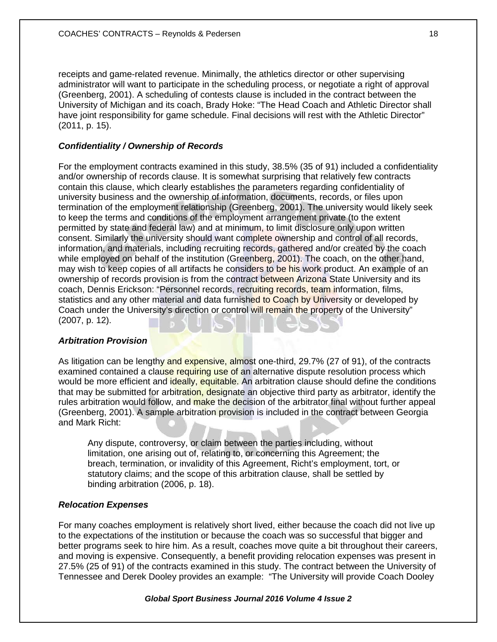receipts and game-related revenue. Minimally, the athletics director or other supervising administrator will want to participate in the scheduling process, or negotiate a right of approval (Greenberg, 2001). A scheduling of contests clause is included in the contract between the University of Michigan and its coach, Brady Hoke: "The Head Coach and Athletic Director shall have joint responsibility for game schedule. Final decisions will rest with the Athletic Director" (2011, p. 15).

## *Confidentiality / Ownership of Records*

For the employment contracts examined in this study, 38.5% (35 of 91) included a confidentiality and/or ownership of records clause. It is somewhat surprising that relatively few contracts contain this clause, which clearly establishes the parameters regarding confidentiality of university business and the ownership of information, documents, records, or files upon termination of the employment relationship (Greenberg, 2001). The university would likely seek to keep the terms and conditions of the employment arrangement private (to the extent permitted by state and federal law) and at minimum, to limit disclosure only upon written consent. Similarly the university should want complete ownership and control of all records, information, and materials, including recruiting records, gathered and/or created by the coach while employed on behalf of the institution (Greenberg, 2001). The coach, on the other hand, may wish to keep copies of all artifacts he considers to be his work product. An example of an ownership of records provision is from the contract between Arizona State University and its coach, Dennis Erickson: "Personnel records, recruiting records, team information, films, statistics and any other material and data furnished to Coach by University or developed by Coach under the University's direction or control will remain the property of the University" (2007, p. 12).

## *Arbitration Provision*

As litigation can be lengthy and expensive, almost one-third, 29.7% (27 of 91), of the contracts examined contained a clause requiring use of an alternative dispute resolution process which would be more efficient and ideally, equitable. An arbitration clause should define the conditions that may be submitted for arbitration, designate an objective third party as arbitrator, identify the rules arbitration would follow, and make the decision of the arbitrator final without further appeal (Greenberg, 2001). A sample arbitration provision is included in the contract between Georgia and Mark Richt:

Any dispute, controversy, or claim between the parties including, without limitation, one arising out of, relating to, or concerning this Agreement; the breach, termination, or invalidity of this Agreement, Richt's employment, tort, or statutory claims; and the scope of this arbitration clause, shall be settled by binding arbitration (2006, p. 18).

#### *Relocation Expenses*

For many coaches employment is relatively short lived, either because the coach did not live up to the expectations of the institution or because the coach was so successful that bigger and better programs seek to hire him. As a result, coaches move quite a bit throughout their careers, and moving is expensive. Consequently, a benefit providing relocation expenses was present in 27.5% (25 of 91) of the contracts examined in this study. The contract between the University of Tennessee and Derek Dooley provides an example: "The University will provide Coach Dooley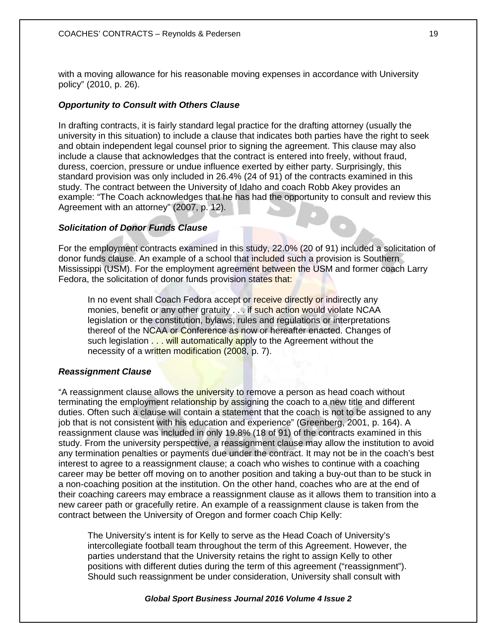with a moving allowance for his reasonable moving expenses in accordance with University policy" (2010, p. 26).

## *Opportunity to Consult with Others Clause*

In drafting contracts, it is fairly standard legal practice for the drafting attorney (usually the university in this situation) to include a clause that indicates both parties have the right to seek and obtain independent legal counsel prior to signing the agreement. This clause may also include a clause that acknowledges that the contract is entered into freely, without fraud, duress, coercion, pressure or undue influence exerted by either party. Surprisingly, this standard provision was only included in 26.4% (24 of 91) of the contracts examined in this study. The contract between the University of Idaho and coach Robb Akey provides an example: "The Coach acknowledges that he has had the opportunity to consult and review this Agreement with an attorney" (2007, p. 12).

# *Solicitation of Donor Funds Clause*

For the employment contracts examined in this study, 22.0% (20 of 91) included a solicitation of donor funds clause. An example of a school that included such a provision is Southern Mississippi (USM). For the employment agreement between the USM and former coach Larry Fedora, the solicitation of donor funds provision states that:

In no event shall Coach Fedora accept or receive directly or indirectly any monies, benefit or any other gratuity . . . if such action would violate NCAA legislation or the constitution, bylaws, rules and regulations or interpretations thereof of the NCAA or Conference as now or hereafter enacted. Changes of such legislation . . . will automatically apply to the Agreement without the necessity of a written modification (2008, p. 7).

## *Reassignment Clause*

"A reassignment clause allows the university to remove a person as head coach without terminating the employment relationship by assigning the coach to a new title and different duties. Often such a clause will contain a statement that the coach is not to be assigned to any job that is not consistent with his education and experience" (Greenberg, 2001, p. 164). A reassignment clause was included in only 19.8% (18 of 91) of the contracts examined in this study. From the university perspective, a reassignment clause may allow the institution to avoid any termination penalties or payments due under the contract. It may not be in the coach's best interest to agree to a reassignment clause; a coach who wishes to continue with a coaching career may be better off moving on to another position and taking a buy-out than to be stuck in a non-coaching position at the institution. On the other hand, coaches who are at the end of their coaching careers may embrace a reassignment clause as it allows them to transition into a new career path or gracefully retire. An example of a reassignment clause is taken from the contract between the University of Oregon and former coach Chip Kelly:

The University's intent is for Kelly to serve as the Head Coach of University's intercollegiate football team throughout the term of this Agreement. However, the parties understand that the University retains the right to assign Kelly to other positions with different duties during the term of this agreement ("reassignment"). Should such reassignment be under consideration, University shall consult with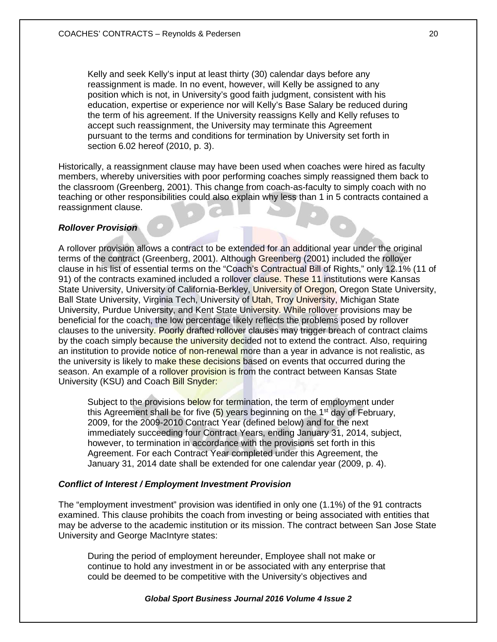Kelly and seek Kelly's input at least thirty (30) calendar days before any reassignment is made. In no event, however, will Kelly be assigned to any position which is not, in University's good faith judgment, consistent with his education, expertise or experience nor will Kelly's Base Salary be reduced during the term of his agreement. If the University reassigns Kelly and Kelly refuses to accept such reassignment, the University may terminate this Agreement pursuant to the terms and conditions for termination by University set forth in section 6.02 hereof (2010, p. 3).

Historically, a reassignment clause may have been used when coaches were hired as faculty members, whereby universities with poor performing coaches simply reassigned them back to the classroom (Greenberg, 2001). This change from coach-as-faculty to simply coach with no teaching or other responsibilities could also explain why less than 1 in 5 contracts contained a reassignment clause.

#### *Rollover Provision*

A rollover provision allows a contract to be extended for an additional year under the original terms of the contract (Greenberg, 2001). Although Greenberg (2001) included the rollover clause in his list of essential terms on the "Coach's Contractual Bill of Rights," only 12.1% (11 of 91) of the contracts examined included a rollover clause. These 11 institutions were Kansas State University, University of California-Berkley, University of Oregon, Oregon State University, Ball State University, Virginia Tech, University of Utah, Troy University, Michigan State University, Purdue University, and Kent State University. While rollover provisions may be beneficial for the coach, the low percentage likely reflects the problems posed by rollover clauses to the university. Poorly drafted rollover clauses may trigger breach of contract claims by the coach simply because the university decided not to extend the contract. Also, requiring an institution to provide notice of non-renewal more than a year in advance is not realistic, as the university is likely to make these decisions based on events that occurred during the season. An example of a rollover provision is from the contract between Kansas State University (KSU) and Coach Bill Snyder:

Subject to the provisions below for termination, the term of employment under this Agreement shall be for five  $(5)$  years beginning on the 1<sup>st</sup> day of February, 2009, for the 2009-2010 Contract Year (defined below) and for the next immediately succeeding four Contract Years, ending January 31, 2014, subject, however, to termination in accordance with the provisions set forth in this Agreement. For each Contract Year completed under this Agreement, the January 31, 2014 date shall be extended for one calendar year (2009, p. 4).

## *Conflict of Interest / Employment Investment Provision*

The "employment investment" provision was identified in only one (1.1%) of the 91 contracts examined. This clause prohibits the coach from investing or being associated with entities that may be adverse to the academic institution or its mission. The contract between San Jose State University and George MacIntyre states:

During the period of employment hereunder, Employee shall not make or continue to hold any investment in or be associated with any enterprise that could be deemed to be competitive with the University's objectives and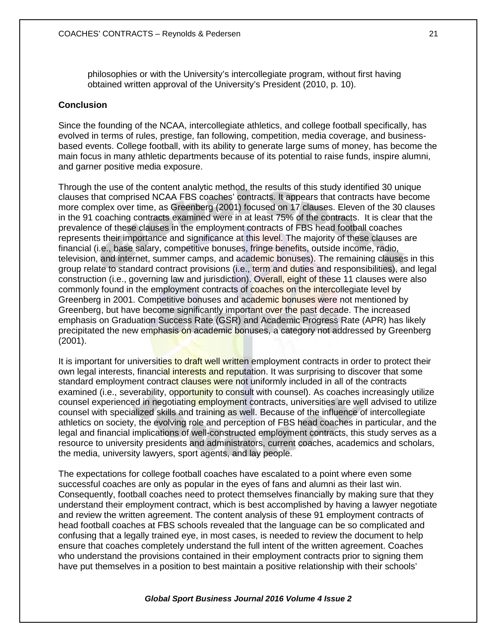philosophies or with the University's intercollegiate program, without first having obtained written approval of the University's President (2010, p. 10).

## **Conclusion**

Since the founding of the NCAA, intercollegiate athletics, and college football specifically, has evolved in terms of rules, prestige, fan following, competition, media coverage, and businessbased events. College football, with its ability to generate large sums of money, has become the main focus in many athletic departments because of its potential to raise funds, inspire alumni, and garner positive media exposure.

Through the use of the content analytic method, the results of this study identified 30 unique clauses that comprised NCAA FBS coaches' contracts. It appears that contracts have become more complex over time, as Greenberg (2001) focused on 17 clauses. Eleven of the 30 clauses in the 91 coaching contracts examined were in at least 75% of the contracts. It is clear that the prevalence of these clauses in the employment contracts of FBS head football coaches represents their importance and significance at this level. The majority of these clauses are financial (i.e., base salary, competitive bonuses, fringe benefits, outside income, radio, television, and internet, summer camps, and academic bonuses). The remaining clauses in this group relate to standard contract provisions (i.e., term and duties and responsibilities), and legal construction (i.e., governing law and jurisdiction). Overall, eight of these 11 clauses were also commonly found in the employment contracts of coaches on the intercollegiate level by Greenberg in 2001. Competitive bonuses and academic bonuses were not mentioned by Greenberg, but have become significantly important over the past decade. The increased emphasis on Graduation Success Rate (GSR) and Academic Progress Rate (APR) has likely precipitated the new emphasis on academic bonuses, a category not addressed by Greenberg (2001).

It is important for universities to draft well written employment contracts in order to protect their own legal interests, financial interests and reputation. It was surprising to discover that some standard employment contract clauses were not uniformly included in all of the contracts examined (i.e., severability, opportunity to consult with counsel). As coaches increasingly utilize counsel experienced in negotiating employment contracts, universities are well advised to utilize counsel with specialized skills and training as well. Because of the influence of intercollegiate athletics on society, the evolving role and perception of FBS head coaches in particular, and the legal and financial implications of well-constructed employment contracts, this study serves as a resource to university presidents and administrators, current coaches, academics and scholars, the media, university lawyers, sport agents, and lay people.

The expectations for college football coaches have escalated to a point where even some successful coaches are only as popular in the eyes of fans and alumni as their last win. Consequently, football coaches need to protect themselves financially by making sure that they understand their employment contract, which is best accomplished by having a lawyer negotiate and review the written agreement. The content analysis of these 91 employment contracts of head football coaches at FBS schools revealed that the language can be so complicated and confusing that a legally trained eye, in most cases, is needed to review the document to help ensure that coaches completely understand the full intent of the written agreement. Coaches who understand the provisions contained in their employment contracts prior to signing them have put themselves in a position to best maintain a positive relationship with their schools'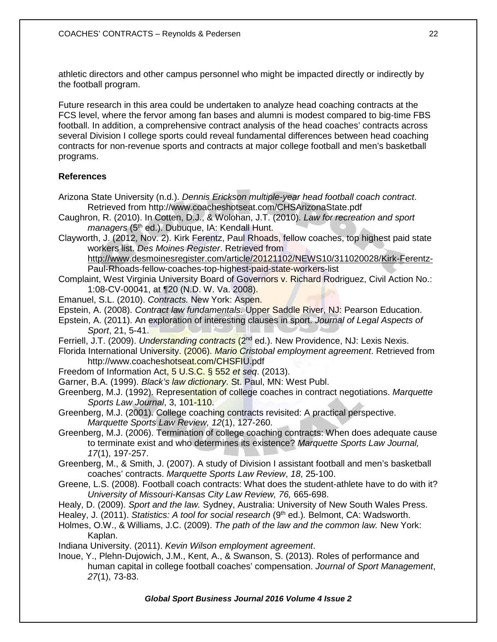athletic directors and other campus personnel who might be impacted directly or indirectly by the football program.

Future research in this area could be undertaken to analyze head coaching contracts at the FCS level, where the fervor among fan bases and alumni is modest compared to big-time FBS football. In addition, a comprehensive contract analysis of the head coaches' contracts across several Division I college sports could reveal fundamental differences between head coaching contracts for non-revenue sports and contracts at major college football and men's basketball programs.

# **References**

- Arizona State University (n.d.). *Dennis Erickson multiple-year head football coach contract*. Retrieved from http://www.coacheshotseat.com/CHSArizonaState.pdf
- Caughron, R. (2010). In Cotten, D.J., & Wolohan, J.T. (2010). *Law for recreation and sport managers* (5<sup>th</sup> ed.). Dubuque, IA: Kendall Hunt.
- Clayworth, J. (2012, Nov. 2). Kirk Ferentz, Paul Rhoads, fellow coaches, top highest paid state workers list. *Des Moines Register*. Retrieved from

<http://www.desmoinesregister.com/article/20121102/NEWS10/311020028/Kirk-Ferentz->Paul-Rhoads-fellow-coaches-top-highest-paid-state-workers-list

- Complaint, West Virginia University Board of Governors v. Richard Rodriguez, Civil Action No.: 1:08-CV-00041, at ¶20 (N.D. W. Va. 2008).
- Emanuel, S.L. (2010). *Contracts.* New York: Aspen.
- Epstein, A. (2008). *Contract law fundamentals.* Upper Saddle River, NJ: Pearson Education.
- Epstein, A. (2011). An exploration of interesting clauses in sport. *Journal of Legal Aspects of Sport*, 21, 5-41.
- Ferriell, J.T. (2009). *Understanding contracts* (2nd ed.). New Providence, NJ: Lexis Nexis.
- Florida International University. (2006). *Mario Cristobal employment agreement*. Retrieved from http://www.coacheshotseat.com/CHSFIU.pdf
- Freedom of Information Act, 5 U.S.C. § 552 *et seq*. (2013).
- Garner, B.A. (1999). *Black's law dictionary*. St. Paul, MN: West Publ.
- Greenberg, M.J. (1992). Representation of college coaches in contract negotiations. *Marquette Sports Law Journal*, 3, 101-110.
- Greenberg, M.J. (2001). College coaching contracts revisited: A practical perspective. *Marquette Sports Law Review, 12*(1), 127-260.
- Greenberg, M.J. (2006). Termination of college coaching contracts: When does adequate cause to terminate exist and who determines its existence? *Marquette Sports Law Journal, 17*(1), 197-257.
- Greenberg, M., & Smith, J. (2007). A study of Division I assistant football and men's basketball coaches' contracts. *Marquette Sports Law Review*, *18*, 25-100.
- Greene, L.S. (2008). Football coach contracts: What does the student-athlete have to do with it? *University of Missouri-Kansas City Law Review, 76,* 665-698.
- Healy, D. (2009). *Sport and the law.* Sydney, Australia: University of New South Wales Press.
- Healey, J. (2011). *Statistics: A tool for social research* (9th ed.)*.* Belmont, CA: Wadsworth.
- Holmes, O.W., & Williams, J.C. (2009). *The path of the law and the common law.* New York: Kaplan.

Indiana University. (2011). *Kevin Wilson employment agreement*.

Inoue, Y., Plehn-Dujowich, J.M., Kent, A., & Swanson, S. (2013). Roles of performance and human capital in college football coaches' compensation. *Journal of Sport Management*, *27*(1), 73-83.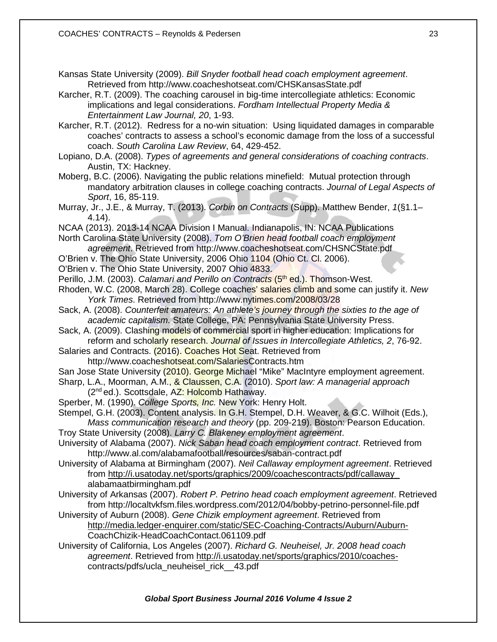Kansas State University (2009). *Bill Snyder football head coach employment agreement*. Retrieved from http://www.coacheshotseat.com/CHSKansasState.pdf

Karcher, R.T. (2009). The coaching carousel in big-time intercollegiate athletics: Economic implications and legal considerations. *Fordham Intellectual Property Media & Entertainment Law Journal, 20*, 1-93.

Karcher, R.T. (2012). Redress for a no-win situation: Using liquidated damages in comparable coaches' contracts to assess a school's economic damage from the loss of a successful coach. *South Carolina Law Review*, 64, 429-452.

Lopiano, D.A. (2008). *Types of agreements and general considerations of coaching contracts*. Austin, TX: Hackney.

Moberg, B.C. (2006). Navigating the public relations minefield: Mutual protection through mandatory arbitration clauses in college coaching contracts. *Journal of Legal Aspects of Sport*, 16, 85-119.

Murray, Jr., J.E., & Murray, T. (2013). *Corbin on Contracts* (Supp). Matthew Bender, *1*(§1.1– 4.14).

NCAA (2013). 2013-14 NCAA Division I Manual. Indianapolis, IN: NCAA Publications

North Carolina State University (2008). *Tom O'Brien head football coach employment agreement*. Retrieved from http://www.coacheshotseat.com/CHSNCState.pdf

O'Brien v. The Ohio State University, 2006 Ohio 1104 (Ohio Ct. Cl. 2006).

O'Brien v. The Ohio State University, 2007 Ohio 4833.

Perillo, J.M. (2003). *Calamari and Perillo on Contracts* (5<sup>th</sup> ed.). Thomson-West.

Rhoden, W.C. (2008, March 28). College coaches' salaries climb and some can justify it. *New York Times*. Retrieved from http://www.nytimes.com/2008/03/28

Sack, A. (2008). *Counterfeit amateurs: An athlete's journey through the sixties to the age of academic capitalism.* State College, PA: Pennsylvania State University Press.

Sack, A. (2009). Clashing models of commercial sport in higher education: Implications for reform and scholarly research. *Journal of Issues in Intercollegiate Athletics, 2*, 76-92.

Salaries and Contracts. (2016). Coaches Hot Seat. Retrieved from http://www.coacheshotseat.com/SalariesContracts.htm

San Jose State University (2010). George Michael "Mike" MacIntyre employment agreement.

Sharp, L.A., Moorman, A.M., & Claussen, C.A. (2010). *Sport law: A managerial approach*  (2<sup>nd</sup> ed.). Scottsdale, AZ: Holcomb Hathaway.

Sperber, M. (1990). *College Sports, Inc.* New York: Henry Holt.

Stempel, G.H. (2003). Content analysis. In G.H. Stempel, D.H. Weaver, & G.C. Wilhoit (Eds.), *Mass communication research and theory* (pp. 209-219). Boston: Pearson Education.

Troy State University (2008). *Larry C. Blakeney employment agreement*.

University of Alabama (2007). *Nick Saban head coach employment contract*. Retrieved from http://www.al.com/alabamafootball/resources/saban-contract.pdf

University of Alabama at Birmingham (2007). *Neil Callaway employment agreement*. Retrieved from [http://i.usatoday.net/sports/graphics/2009/coachescontracts/pdf/callaway\\_](http://i.usatoday.net/sports/graphics/2009/coachescontracts/pdf/callaway_) alabamaatbirmingham.pdf

- University of Arkansas (2007). *Robert P. Petrino head coach employment agreement*. Retrieved from http://localtvkfsm.files.wordpress.com/2012/04/bobby-petrino-personnel-file.pdf
- University of Auburn (2008). *Gene Chizik employment agreement*. Retrieved from <http://media.ledger-enquirer.com/static/SEC-Coaching-Contracts/Auburn/Auburn->CoachChizik-HeadCoachContact.061109.pdf
- University of California, Los Angeles (2007). *Richard G. Neuheisel, Jr. 2008 head coach agreement*. Retrieved from [http://i.usatoday.net/sports/graphics/2010/coaches](http://i.usatoday.net/sports/graphics/2010/coaches-)contracts/pdfs/ucla\_neuheisel\_rick\_\_43.pdf